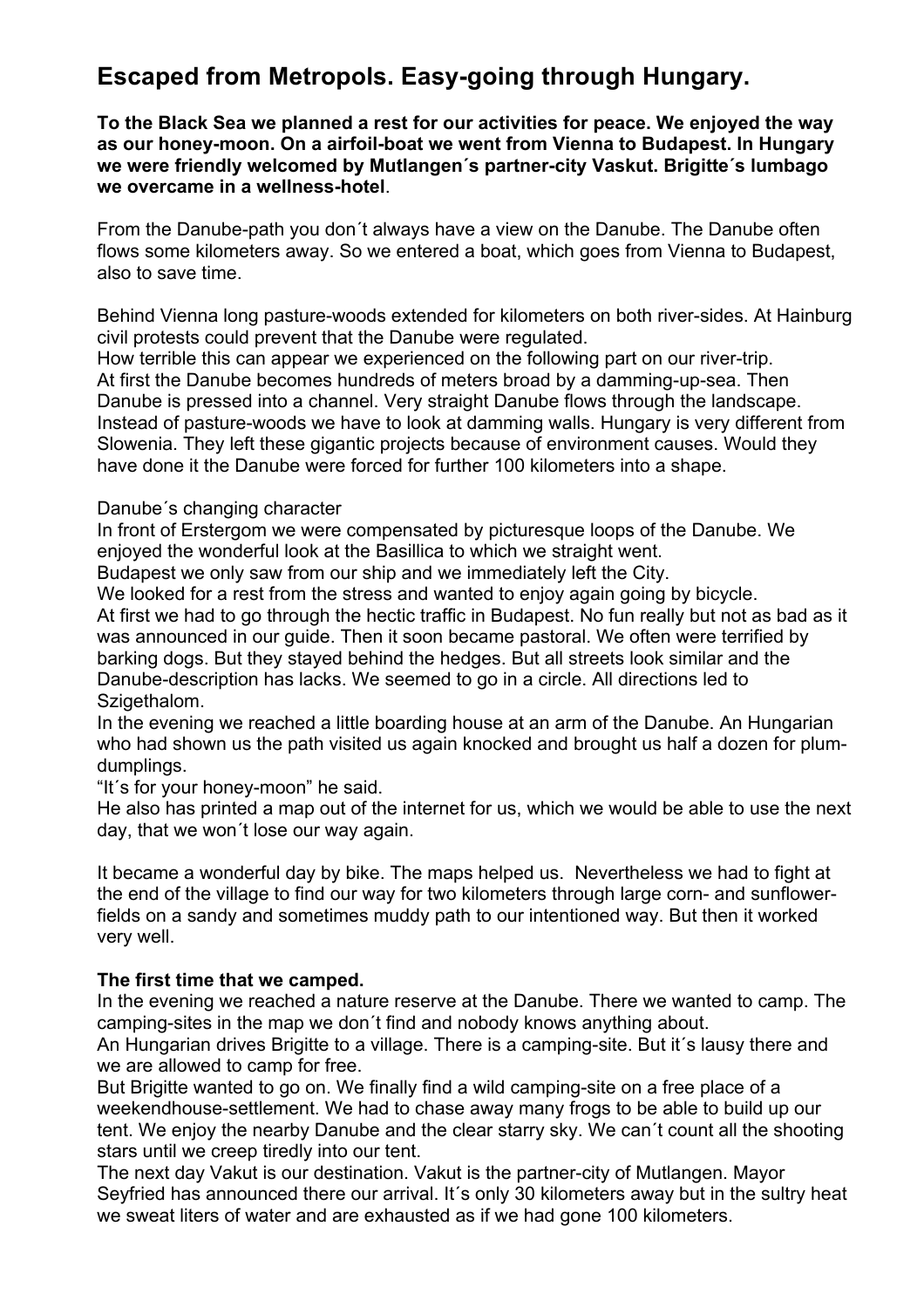# **Escaped from Metropols. Easy-going through Hungary.**

**To the Black Sea we planned a rest for our activities for peace. We enjoyed the way as our honey-moon. On a airfoil-boat we went from Vienna to Budapest. In Hungary we were friendly welcomed by Mutlangen´s partner-city Vaskut. Brigitte´s lumbago we overcame in a wellness-hotel**.

From the Danube-path you don´t always have a view on the Danube. The Danube often flows some kilometers away. So we entered a boat, which goes from Vienna to Budapest, also to save time.

Behind Vienna long pasture-woods extended for kilometers on both river-sides. At Hainburg civil protests could prevent that the Danube were regulated.

How terrible this can appear we experienced on the following part on our river-trip. At first the Danube becomes hundreds of meters broad by a damming-up-sea. Then Danube is pressed into a channel. Very straight Danube flows through the landscape. Instead of pasture-woods we have to look at damming walls. Hungary is very different from Slowenia. They left these gigantic projects because of environment causes. Would they have done it the Danube were forced for further 100 kilometers into a shape.

Danube´s changing character

In front of Erstergom we were compensated by picturesque loops of the Danube. We enjoyed the wonderful look at the Basillica to which we straight went.

Budapest we only saw from our ship and we immediately left the City.

We looked for a rest from the stress and wanted to enjoy again going by bicycle. At first we had to go through the hectic traffic in Budapest. No fun really but not as bad as it was announced in our guide. Then it soon became pastoral. We often were terrified by barking dogs. But they stayed behind the hedges. But all streets look similar and the Danube-description has lacks. We seemed to go in a circle. All directions led to Szigethalom.

In the evening we reached a little boarding house at an arm of the Danube. An Hungarian who had shown us the path visited us again knocked and brought us half a dozen for plumdumplings.

"It´s for your honey-moon" he said.

He also has printed a map out of the internet for us, which we would be able to use the next day, that we won´t lose our way again.

It became a wonderful day by bike. The maps helped us. Nevertheless we had to fight at the end of the village to find our way for two kilometers through large corn- and sunflowerfields on a sandy and sometimes muddy path to our intentioned way. But then it worked very well.

## **The first time that we camped.**

In the evening we reached a nature reserve at the Danube. There we wanted to camp. The camping-sites in the map we don´t find and nobody knows anything about.

An Hungarian drives Brigitte to a village. There is a camping-site. But it´s lausy there and we are allowed to camp for free.

But Brigitte wanted to go on. We finally find a wild camping-site on a free place of a weekendhouse-settlement. We had to chase away many frogs to be able to build up our tent. We enjoy the nearby Danube and the clear starry sky. We can´t count all the shooting stars until we creep tiredly into our tent.

The next day Vakut is our destination. Vakut is the partner-city of Mutlangen. Mayor Seyfried has announced there our arrival. It's only 30 kilometers away but in the sultry heat we sweat liters of water and are exhausted as if we had gone 100 kilometers.